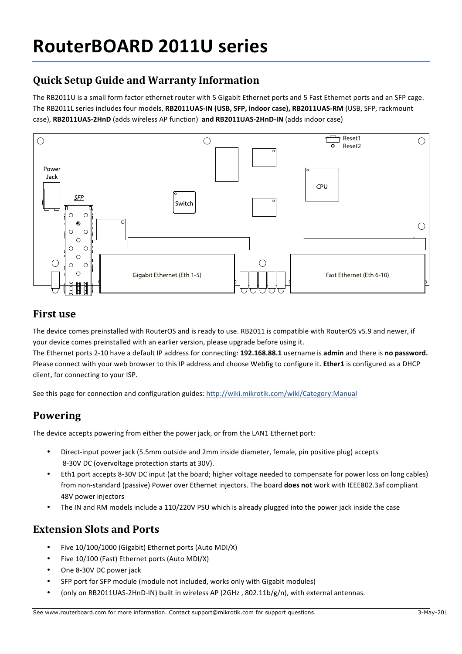# **RouterBOARD 2011U series**

# **Quick Setup Guide and Warranty Information**

The RB2011U is a small form factor ethernet router with 5 Gigabit Ethernet ports and 5 Fast Ethernet ports and an SFP cage. The RB2011L series includes four models, RB2011UAS-IN (USB, SFP, indoor case), RB2011UAS-RM (USB, SFP, rackmount case), RB2011UAS-2HnD (adds wireless AP function) and RB2011UAS-2HnD-IN (adds indoor case)



#### **First use**

The device comes preinstalled with RouterOS and is ready to use. RB2011 is compatible with RouterOS v5.9 and newer, if your device comes preinstalled with an earlier version, please upgrade before using it.

The Ethernet ports 2-10 have a default IP address for connecting: **192.168.88.1** username is **admin** and there is **no password.** Please connect with your web browser to this IP address and choose Webfig to configure it. **Ether1** is configured as a DHCP client, for connecting to your ISP.

See this page for connection and configuration guides: http://wiki.mikrotik.com/wiki/Category:Manual

### **Powering**

The device accepts powering from either the power jack, or from the LAN1 Ethernet port:

- Direct-input power jack (5.5mm outside and 2mm inside diameter, female, pin positive plug) accepts 8-30V DC (overvoltage protection starts at 30V).
- Eth1 port accepts 8-30V DC input (at the board; higher voltage needed to compensate for power loss on long cables) from non-standard (passive) Power over Ethernet injectors. The board does not work with IEEE802.3af compliant 48V power injectors
- The IN and RM models include a 110/220V PSU which is already plugged into the power jack inside the case

### **Extension Slots and Ports**

- Five 10/100/1000 (Gigabit) Ethernet ports (Auto MDI/X)
- Five 10/100 (Fast) Ethernet ports (Auto MDI/X)
- One 8-30V DC power jack
- SFP port for SFP module (module not included, works only with Gigabit modules)
- (only on RB2011UAS-2HnD-IN) built in wireless AP (2GHz, 802.11b/g/n), with external antennas.